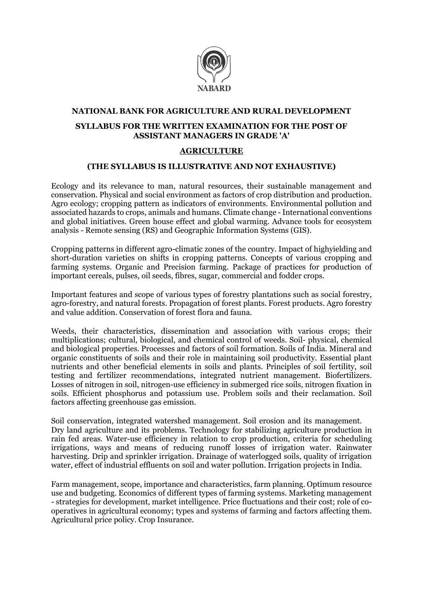

## NATIONAL BANK FOR AGRICULTURE AND RURAL DEVELOPMENT SYLLABUS FOR THE WRITTEN EXAMINATION FOR THE POST OF ASSISTANT MANAGERS IN GRADE 'A'

## AGRICULTURE

## (THE SYLLABUS IS ILLUSTRATIVE AND NOT EXHAUSTIVE)

Ecology and its relevance to man, natural resources, their sustainable management and conservation. Physical and social environment as factors of crop distribution and production. Agro ecology; cropping pattern as indicators of environments. Environmental pollution and associated hazards to crops, animals and humans. Climate change - International conventions and global initiatives. Green house effect and global warming. Advance tools for ecosystem analysis - Remote sensing (RS) and Geographic Information Systems (GIS).

Cropping patterns in different agro-climatic zones of the country. Impact of highyielding and short-duration varieties on shifts in cropping patterns. Concepts of various cropping and farming systems. Organic and Precision farming. Package of practices for production of important cereals, pulses, oil seeds, fibres, sugar, commercial and fodder crops.

Important features and scope of various types of forestry plantations such as social forestry, agro-forestry, and natural forests. Propagation of forest plants. Forest products. Agro forestry and value addition. Conservation of forest flora and fauna.

Weeds, their characteristics, dissemination and association with various crops; their multiplications; cultural, biological, and chemical control of weeds. Soil- physical, chemical and biological properties. Processes and factors of soil formation. Soils of India. Mineral and organic constituents of soils and their role in maintaining soil productivity. Essential plant nutrients and other beneficial elements in soils and plants. Principles of soil fertility, soil testing and fertilizer recommendations, integrated nutrient management. Biofertilizers. Losses of nitrogen in soil, nitrogen-use efficiency in submerged rice soils, nitrogen fixation in soils. Efficient phosphorus and potassium use. Problem soils and their reclamation. Soil factors affecting greenhouse gas emission.

Soil conservation, integrated watershed management. Soil erosion and its management. Dry land agriculture and its problems. Technology for stabilizing agriculture production in rain fed areas. Water-use efficiency in relation to crop production, criteria for scheduling irrigations, ways and means of reducing runoff losses of irrigation water. Rainwater harvesting. Drip and sprinkler irrigation. Drainage of waterlogged soils, quality of irrigation water, effect of industrial effluents on soil and water pollution. Irrigation projects in India.

Farm management, scope, importance and characteristics, farm planning. Optimum resource use and budgeting. Economics of different types of farming systems. Marketing management - strategies for development, market intelligence. Price fluctuations and their cost; role of cooperatives in agricultural economy; types and systems of farming and factors affecting them. Agricultural price policy. Crop Insurance.